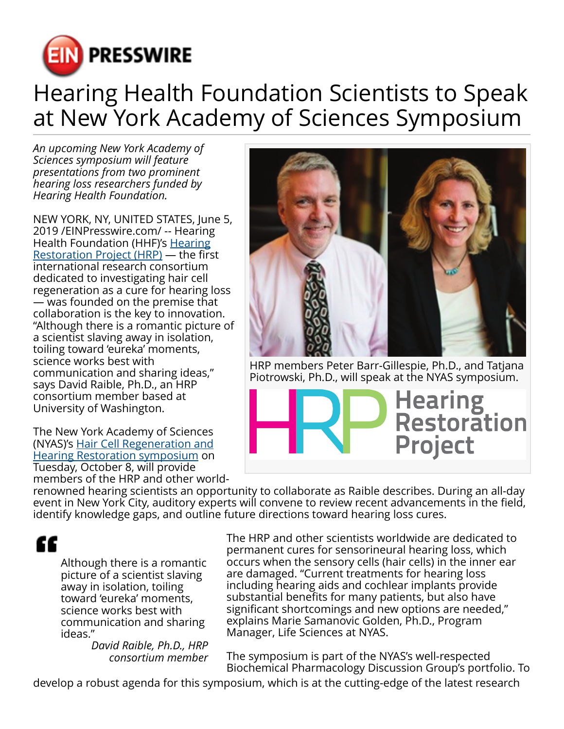

## Hearing Health Foundation Scientists to Speak at New York Academy of Sciences Symposium

*An upcoming New York Academy of Sciences symposium will feature presentations from two prominent hearing loss researchers funded by Hearing Health Foundation.*

NEW YORK, NY, UNITED STATES, June 5, 2019 /[EINPresswire.com](http://www.einpresswire.com)/ -- Hearing Health Foundation (HHF)'s [Hearing](http://hhf.org/hrp) [Restoration Project \(HRP\)](http://hhf.org/hrp) — the first international research consortium dedicated to investigating hair cell regeneration as a cure for hearing loss — was founded on the premise that collaboration is the key to innovation. "Although there is a romantic picture of a scientist slaving away in isolation, toiling toward 'eureka' moments, science works best with communication and sharing ideas," says David Raible, Ph.D., an HRP consortium member based at University of Washington.

The New York Academy of Sciences (NYAS)'s [Hair Cell Regeneration and](https://www.nyas.org/events/2019/hair-cell-regeneration-and-hearing-restoration/) [Hearing Restoration symposium](https://www.nyas.org/events/2019/hair-cell-regeneration-and-hearing-restoration/) on Tuesday, October 8, will provide members of the HRP and other world-



HRP members Peter Barr-Gillespie, Ph.D., and Tatjana Piotrowski, Ph.D., will speak at the NYAS symposium.

Hearing<br>Restoration **Project** 

renowned hearing scientists an opportunity to collaborate as Raible describes. During an all-day event in New York City, auditory experts will convene to review recent advancements in the field, identify knowledge gaps, and outline future directions toward hearing loss cures.

## ££

Although there is a romantic picture of a scientist slaving away in isolation, toiling toward 'eureka' moments, science works best with communication and sharing ideas."

*David Raible, Ph.D., HRP consortium member* The HRP and other scientists worldwide are dedicated to permanent cures for sensorineural hearing loss, which occurs when the sensory cells (hair cells) in the inner ear are damaged. "Current treatments for hearing loss including hearing aids and cochlear implants provide substantial benefits for many patients, but also have significant shortcomings and new options are needed," explains Marie Samanovic Golden, Ph.D., Program Manager, Life Sciences at NYAS.

The symposium is part of the NYAS's well-respected Biochemical Pharmacology Discussion Group's portfolio. To

develop a robust agenda for this symposium, which is at the cutting-edge of the latest research